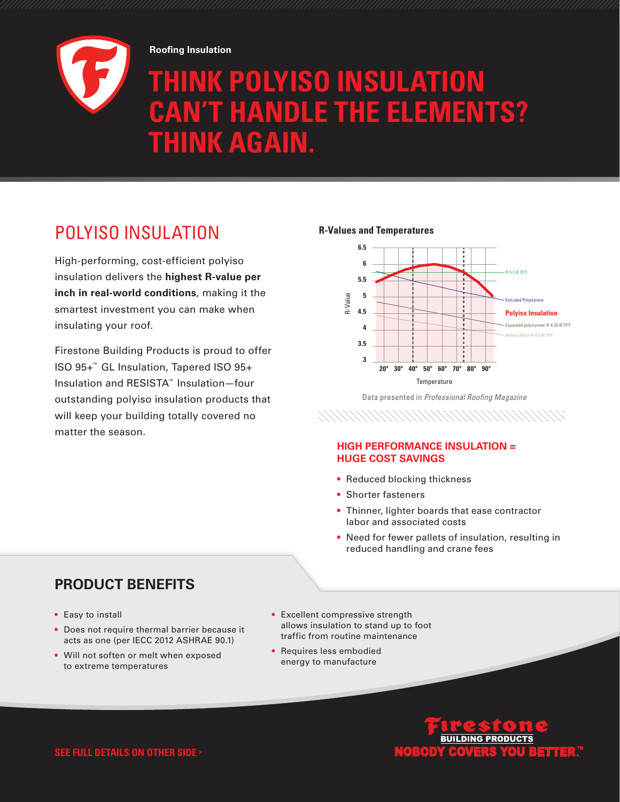

**Roofing Insulation**

# **THINK POLYISO INSULATION CAN'T HANDLE THE ELEMENTS? THINK AGAIN.**

## POLYISO INSULATION

High-performing, cost-efficient polyiso insulation delivers the **highest R-value per inch in real-world conditions**, making it the smartest investment you can make when insulating your roof.

Firestone Building Products is proud to offer ISO 95+™ GL Insulation, Tapered ISO 95+ Insulation and RESISTA™ Insulation—four outstanding polyiso insulation products that will keep your building totally covered no matter the season.

### **R-Values and Temperatures**



Data presented in *Professional Roofing Magazine*

### **HIGH PERFORMANCE INSULATION = HUGE COST SAVINGS**

- Reduced blocking thickness
- Shorter fasteners
- Thinner, lighter boards that ease contractor labor and associated costs
- Need for fewer pallets of insulation, resulting in reduced handling and crane fees

### **PRODUCT BENEFITS**

- Easy to install
- Does not require thermal barrier because it acts as one (per IECC 2012 ASHRAE 90.1)
- Will not soften or melt when exposed to extreme temperatures
- Excellent compressive strength allows insulation to stand up to foot traffic from routine maintenance
- Requires less embodied energy to manufacture